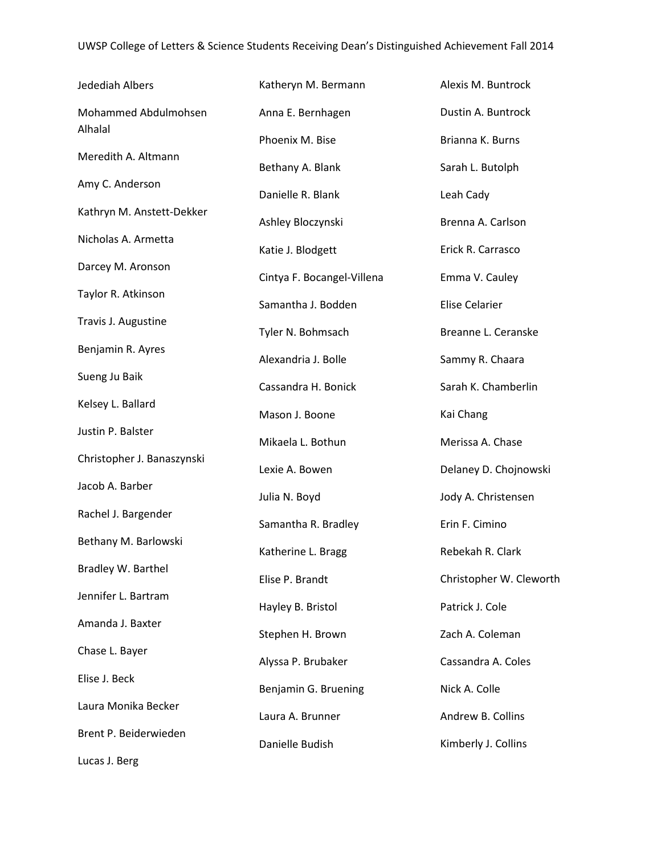| Jedediah Albers                 | Katheryn M. Bermann        | Alexis M. Buntrock      |
|---------------------------------|----------------------------|-------------------------|
| Mohammed Abdulmohsen<br>Alhalal | Anna E. Bernhagen          | Dustin A. Buntrock      |
|                                 | Phoenix M. Bise            | Brianna K. Burns        |
| Meredith A. Altmann             | Bethany A. Blank           | Sarah L. Butolph        |
| Amy C. Anderson                 | Danielle R. Blank          | Leah Cady               |
| Kathryn M. Anstett-Dekker       | Ashley Bloczynski          | Brenna A. Carlson       |
| Nicholas A. Armetta             | Katie J. Blodgett          | Erick R. Carrasco       |
| Darcey M. Aronson               | Cintya F. Bocangel-Villena | Emma V. Cauley          |
| Taylor R. Atkinson              | Samantha J. Bodden         | <b>Elise Celarier</b>   |
| Travis J. Augustine             | Tyler N. Bohmsach          | Breanne L. Ceranske     |
| Benjamin R. Ayres               | Alexandria J. Bolle        | Sammy R. Chaara         |
| Sueng Ju Baik                   | Cassandra H. Bonick        | Sarah K. Chamberlin     |
| Kelsey L. Ballard               | Mason J. Boone             | Kai Chang               |
| Justin P. Balster               | Mikaela L. Bothun          | Merissa A. Chase        |
| Christopher J. Banaszynski      | Lexie A. Bowen             | Delaney D. Chojnowski   |
| Jacob A. Barber                 | Julia N. Boyd              | Jody A. Christensen     |
| Rachel J. Bargender             | Samantha R. Bradley        | Erin F. Cimino          |
| Bethany M. Barlowski            | Katherine L. Bragg         | Rebekah R. Clark        |
| Bradley W. Barthel              | Elise P. Brandt            | Christopher W. Cleworth |
| Jennifer L. Bartram             | Hayley B. Bristol          | Patrick J. Cole         |
| Amanda J. Baxter                | Stephen H. Brown           | Zach A. Coleman         |
| Chase L. Bayer                  | Alyssa P. Brubaker         | Cassandra A. Coles      |
| Elise J. Beck                   |                            |                         |
| Laura Monika Becker             | Benjamin G. Bruening       | Nick A. Colle           |
| Brent P. Beiderwieden           | Laura A. Brunner           | Andrew B. Collins       |
| Lucas J. Berg                   | Danielle Budish            | Kimberly J. Collins     |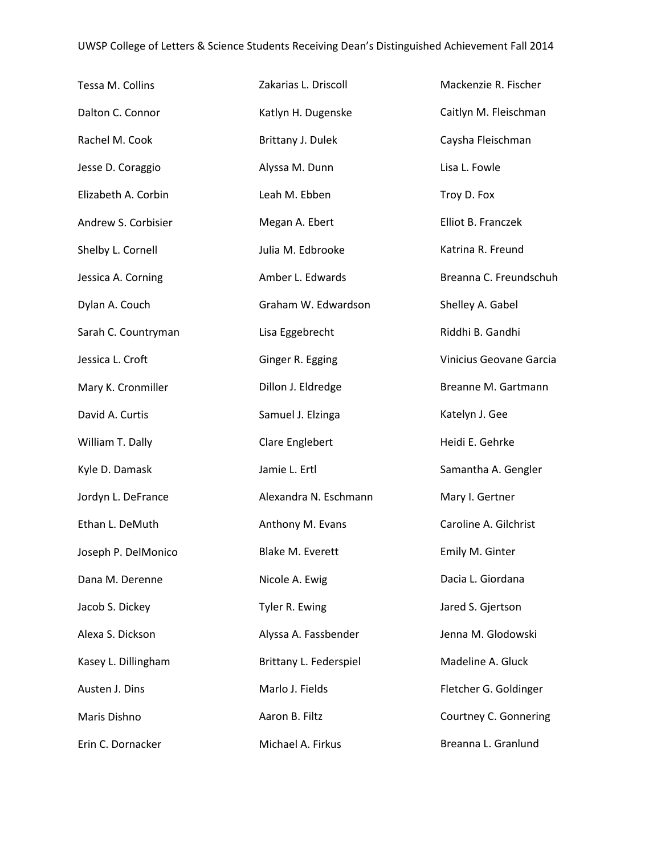| Tessa M. Collins    | Zakarias L. Driscoll    | Mackenzie R. Fischer    |
|---------------------|-------------------------|-------------------------|
| Dalton C. Connor    | Katlyn H. Dugenske      | Caitlyn M. Fleischman   |
| Rachel M. Cook      | Brittany J. Dulek       | Caysha Fleischman       |
| Jesse D. Coraggio   | Alyssa M. Dunn          | Lisa L. Fowle           |
| Elizabeth A. Corbin | Leah M. Ebben           | Troy D. Fox             |
| Andrew S. Corbisier | Megan A. Ebert          | Elliot B. Franczek      |
| Shelby L. Cornell   | Julia M. Edbrooke       | Katrina R. Freund       |
| Jessica A. Corning  | Amber L. Edwards        | Breanna C. Freundschuh  |
| Dylan A. Couch      | Graham W. Edwardson     | Shelley A. Gabel        |
| Sarah C. Countryman | Lisa Eggebrecht         | Riddhi B. Gandhi        |
| Jessica L. Croft    | Ginger R. Egging        | Vinicius Geovane Garcia |
| Mary K. Cronmiller  | Dillon J. Eldredge      | Breanne M. Gartmann     |
| David A. Curtis     | Samuel J. Elzinga       | Katelyn J. Gee          |
| William T. Dally    | Clare Englebert         | Heidi E. Gehrke         |
| Kyle D. Damask      | Jamie L. Ertl           | Samantha A. Gengler     |
| Jordyn L. DeFrance  | Alexandra N. Eschmann   | Mary I. Gertner         |
| Ethan L. DeMuth     | Anthony M. Evans        | Caroline A. Gilchrist   |
| Joseph P. DelMonico | <b>Blake M. Everett</b> | Emily M. Ginter         |
| Dana M. Derenne     | Nicole A. Ewig          | Dacia L. Giordana       |
| Jacob S. Dickey     | Tyler R. Ewing          | Jared S. Gjertson       |
| Alexa S. Dickson    | Alyssa A. Fassbender    | Jenna M. Glodowski      |
| Kasey L. Dillingham | Brittany L. Federspiel  | Madeline A. Gluck       |
| Austen J. Dins      | Marlo J. Fields         | Fletcher G. Goldinger   |
| Maris Dishno        | Aaron B. Filtz          | Courtney C. Gonnering   |
| Erin C. Dornacker   | Michael A. Firkus       | Breanna L. Granlund     |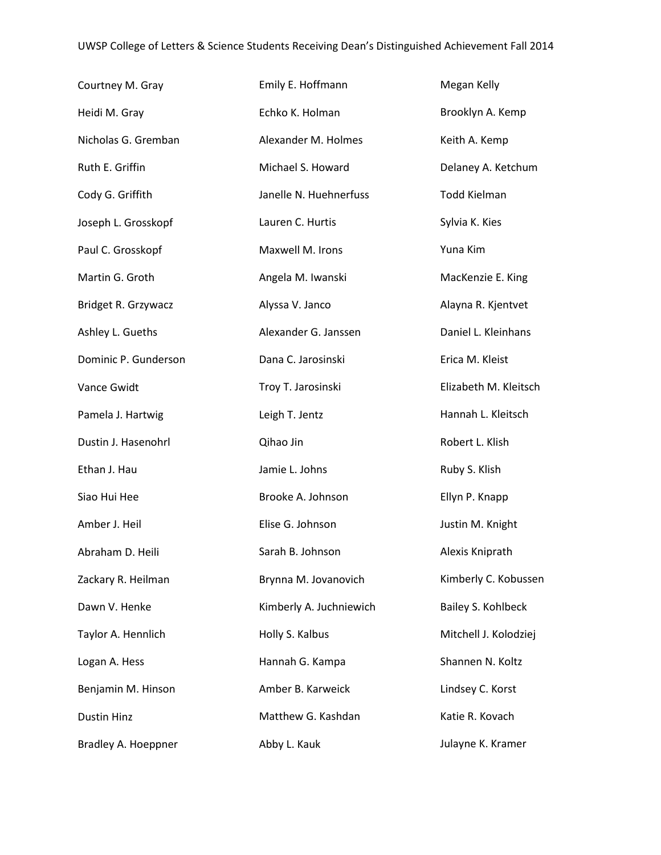| Courtney M. Gray     | Emily E. Hoffmann       | Megan Kelly           |
|----------------------|-------------------------|-----------------------|
| Heidi M. Gray        | Echko K. Holman         | Brooklyn A. Kemp      |
| Nicholas G. Gremban  | Alexander M. Holmes     | Keith A. Kemp         |
| Ruth E. Griffin      | Michael S. Howard       | Delaney A. Ketchum    |
| Cody G. Griffith     | Janelle N. Huehnerfuss  | <b>Todd Kielman</b>   |
| Joseph L. Grosskopf  | Lauren C. Hurtis        | Sylvia K. Kies        |
| Paul C. Grosskopf    | Maxwell M. Irons        | Yuna Kim              |
| Martin G. Groth      | Angela M. Iwanski       | MacKenzie E. King     |
| Bridget R. Grzywacz  | Alyssa V. Janco         | Alayna R. Kjentvet    |
| Ashley L. Gueths     | Alexander G. Janssen    | Daniel L. Kleinhans   |
| Dominic P. Gunderson | Dana C. Jarosinski      | Erica M. Kleist       |
| Vance Gwidt          | Troy T. Jarosinski      | Elizabeth M. Kleitsch |
| Pamela J. Hartwig    | Leigh T. Jentz          | Hannah L. Kleitsch    |
| Dustin J. Hasenohrl  | Qihao Jin               | Robert L. Klish       |
| Ethan J. Hau         | Jamie L. Johns          | Ruby S. Klish         |
| Siao Hui Hee         | Brooke A. Johnson       | Ellyn P. Knapp        |
| Amber J. Heil        | Elise G. Johnson        | Justin M. Knight      |
| Abraham D. Heili     | Sarah B. Johnson        | Alexis Kniprath       |
| Zackary R. Heilman   | Brynna M. Jovanovich    | Kimberly C. Kobussen  |
| Dawn V. Henke        | Kimberly A. Juchniewich | Bailey S. Kohlbeck    |
| Taylor A. Hennlich   | Holly S. Kalbus         | Mitchell J. Kolodziej |
| Logan A. Hess        | Hannah G. Kampa         | Shannen N. Koltz      |
| Benjamin M. Hinson   | Amber B. Karweick       | Lindsey C. Korst      |
| <b>Dustin Hinz</b>   | Matthew G. Kashdan      | Katie R. Kovach       |
| Bradley A. Hoeppner  | Abby L. Kauk            | Julayne K. Kramer     |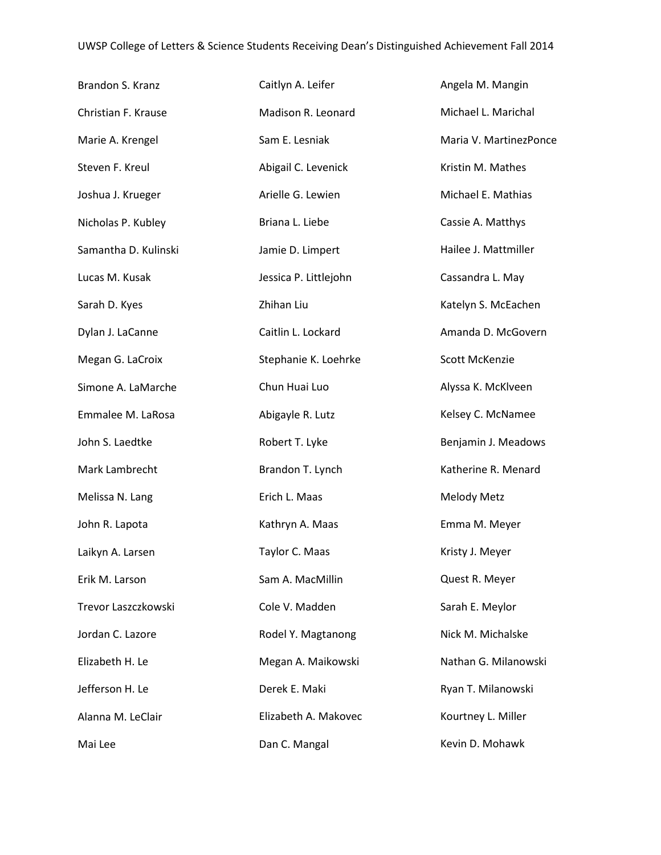| Brandon S. Kranz     | Caitlyn A. Leifer     | Angela M. Mangin       |
|----------------------|-----------------------|------------------------|
| Christian F. Krause  | Madison R. Leonard    | Michael L. Marichal    |
| Marie A. Krengel     | Sam E. Lesniak        | Maria V. MartinezPonce |
| Steven F. Kreul      | Abigail C. Levenick   | Kristin M. Mathes      |
| Joshua J. Krueger    | Arielle G. Lewien     | Michael E. Mathias     |
| Nicholas P. Kubley   | Briana L. Liebe       | Cassie A. Matthys      |
| Samantha D. Kulinski | Jamie D. Limpert      | Hailee J. Mattmiller   |
| Lucas M. Kusak       | Jessica P. Littlejohn | Cassandra L. May       |
| Sarah D. Kyes        | Zhihan Liu            | Katelyn S. McEachen    |
| Dylan J. LaCanne     | Caitlin L. Lockard    | Amanda D. McGovern     |
| Megan G. LaCroix     | Stephanie K. Loehrke  | Scott McKenzie         |
| Simone A. LaMarche   | Chun Huai Luo         | Alyssa K. McKlveen     |
| Emmalee M. LaRosa    | Abigayle R. Lutz      | Kelsey C. McNamee      |
| John S. Laedtke      | Robert T. Lyke        | Benjamin J. Meadows    |
| Mark Lambrecht       | Brandon T. Lynch      | Katherine R. Menard    |
| Melissa N. Lang      | Erich L. Maas         | Melody Metz            |
| John R. Lapota       | Kathryn A. Maas       | Emma M. Meyer          |
| Laikyn A. Larsen     | Taylor C. Maas        | Kristy J. Meyer        |
| Erik M. Larson       | Sam A. MacMillin      | Quest R. Meyer         |
| Trevor Laszczkowski  | Cole V. Madden        | Sarah E. Meylor        |
| Jordan C. Lazore     | Rodel Y. Magtanong    | Nick M. Michalske      |
| Elizabeth H. Le      | Megan A. Maikowski    | Nathan G. Milanowski   |
| Jefferson H. Le      | Derek E. Maki         | Ryan T. Milanowski     |
| Alanna M. LeClair    | Elizabeth A. Makovec  | Kourtney L. Miller     |
| Mai Lee              | Dan C. Mangal         | Kevin D. Mohawk        |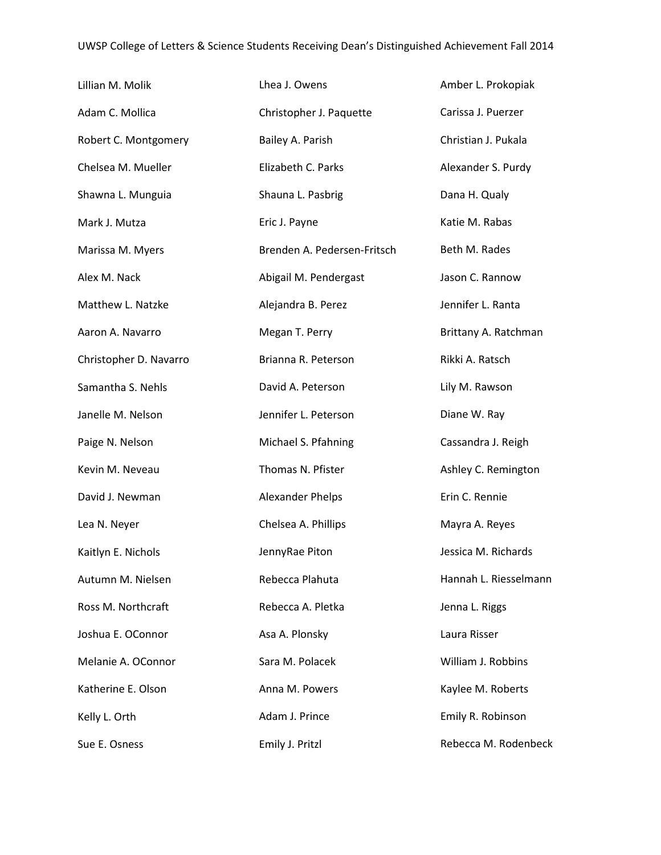| Lillian M. Molik       | Lhea J. Owens               | Amber L. Prokopiak    |
|------------------------|-----------------------------|-----------------------|
| Adam C. Mollica        | Christopher J. Paquette     | Carissa J. Puerzer    |
| Robert C. Montgomery   | Bailey A. Parish            | Christian J. Pukala   |
| Chelsea M. Mueller     | Elizabeth C. Parks          | Alexander S. Purdy    |
| Shawna L. Munguia      | Shauna L. Pasbrig           | Dana H. Qualy         |
| Mark J. Mutza          | Eric J. Payne               | Katie M. Rabas        |
| Marissa M. Myers       | Brenden A. Pedersen-Fritsch | Beth M. Rades         |
| Alex M. Nack           | Abigail M. Pendergast       | Jason C. Rannow       |
| Matthew L. Natzke      | Alejandra B. Perez          | Jennifer L. Ranta     |
| Aaron A. Navarro       | Megan T. Perry              | Brittany A. Ratchman  |
| Christopher D. Navarro | Brianna R. Peterson         | Rikki A. Ratsch       |
| Samantha S. Nehls      | David A. Peterson           | Lily M. Rawson        |
| Janelle M. Nelson      | Jennifer L. Peterson        | Diane W. Ray          |
| Paige N. Nelson        | Michael S. Pfahning         | Cassandra J. Reigh    |
| Kevin M. Neveau        | Thomas N. Pfister           | Ashley C. Remington   |
| David J. Newman        | Alexander Phelps            | Erin C. Rennie        |
| Lea N. Neyer           | Chelsea A. Phillips         | Mayra A. Reyes        |
| Kaitlyn E. Nichols     | JennyRae Piton              | Jessica M. Richards   |
| Autumn M. Nielsen      | Rebecca Plahuta             | Hannah L. Riesselmann |
| Ross M. Northcraft     | Rebecca A. Pletka           | Jenna L. Riggs        |
| Joshua E. OConnor      | Asa A. Plonsky              | Laura Risser          |
| Melanie A. OConnor     | Sara M. Polacek             | William J. Robbins    |
| Katherine E. Olson     | Anna M. Powers              | Kaylee M. Roberts     |
| Kelly L. Orth          | Adam J. Prince              | Emily R. Robinson     |
| Sue E. Osness          | Emily J. Pritzl             | Rebecca M. Rodenbeck  |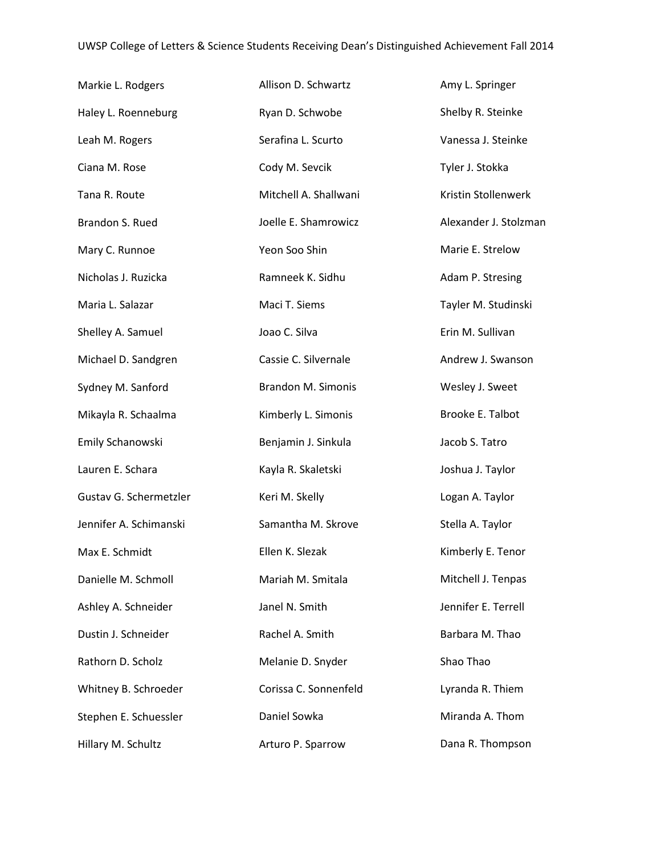| Markie L. Rodgers      | Allison D. Schwartz   | Amy L. Springer       |
|------------------------|-----------------------|-----------------------|
| Haley L. Roenneburg    | Ryan D. Schwobe       | Shelby R. Steinke     |
| Leah M. Rogers         | Serafina L. Scurto    | Vanessa J. Steinke    |
| Ciana M. Rose          | Cody M. Sevcik        | Tyler J. Stokka       |
| Tana R. Route          | Mitchell A. Shallwani | Kristin Stollenwerk   |
| Brandon S. Rued        | Joelle E. Shamrowicz  | Alexander J. Stolzman |
| Mary C. Runnoe         | Yeon Soo Shin         | Marie E. Strelow      |
| Nicholas J. Ruzicka    | Ramneek K. Sidhu      | Adam P. Stresing      |
| Maria L. Salazar       | Maci T. Siems         | Tayler M. Studinski   |
| Shelley A. Samuel      | Joao C. Silva         | Erin M. Sullivan      |
| Michael D. Sandgren    | Cassie C. Silvernale  | Andrew J. Swanson     |
| Sydney M. Sanford      | Brandon M. Simonis    | Wesley J. Sweet       |
| Mikayla R. Schaalma    | Kimberly L. Simonis   | Brooke E. Talbot      |
| Emily Schanowski       | Benjamin J. Sinkula   | Jacob S. Tatro        |
| Lauren E. Schara       | Kayla R. Skaletski    | Joshua J. Taylor      |
| Gustav G. Schermetzler | Keri M. Skelly        | Logan A. Taylor       |
| Jennifer A. Schimanski | Samantha M. Skrove    | Stella A. Taylor      |
| Max E. Schmidt         | Ellen K. Slezak       | Kimberly E. Tenor     |
| Danielle M. Schmoll    | Mariah M. Smitala     | Mitchell J. Tenpas    |
| Ashley A. Schneider    | Janel N. Smith        | Jennifer E. Terrell   |
| Dustin J. Schneider    | Rachel A. Smith       | Barbara M. Thao       |
| Rathorn D. Scholz      | Melanie D. Snyder     | Shao Thao             |
| Whitney B. Schroeder   | Corissa C. Sonnenfeld | Lyranda R. Thiem      |
| Stephen E. Schuessler  | Daniel Sowka          | Miranda A. Thom       |
| Hillary M. Schultz     | Arturo P. Sparrow     | Dana R. Thompson      |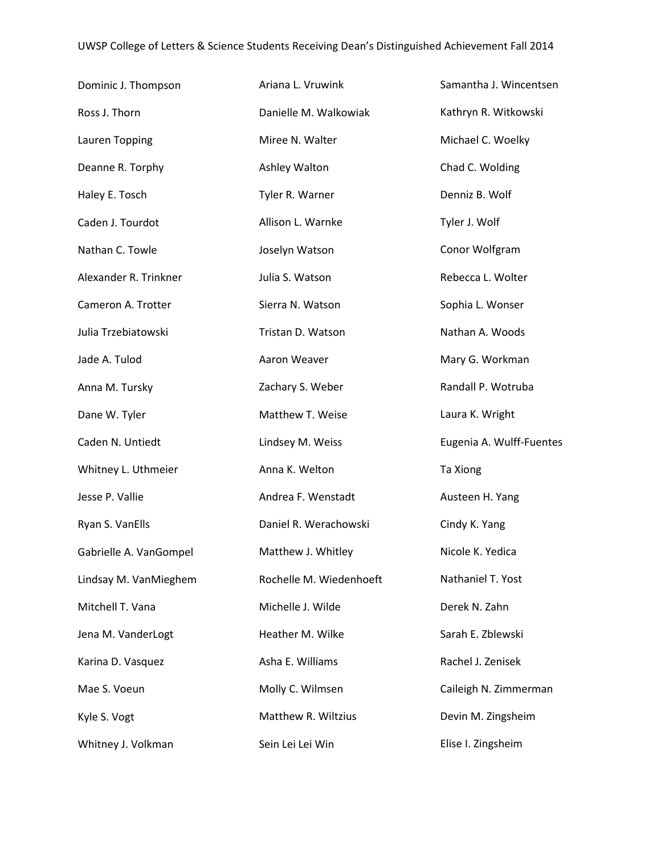| Dominic J. Thompson    | Ariana L. Vruwink       | Samantha J. Wincentsen   |
|------------------------|-------------------------|--------------------------|
| Ross J. Thorn          | Danielle M. Walkowiak   | Kathryn R. Witkowski     |
| Lauren Topping         | Miree N. Walter         | Michael C. Woelky        |
| Deanne R. Torphy       | Ashley Walton           | Chad C. Wolding          |
| Haley E. Tosch         | Tyler R. Warner         | Denniz B. Wolf           |
| Caden J. Tourdot       | Allison L. Warnke       | Tyler J. Wolf            |
| Nathan C. Towle        | Joselyn Watson          | Conor Wolfgram           |
| Alexander R. Trinkner  | Julia S. Watson         | Rebecca L. Wolter        |
| Cameron A. Trotter     | Sierra N. Watson        | Sophia L. Wonser         |
| Julia Trzebiatowski    | Tristan D. Watson       | Nathan A. Woods          |
| Jade A. Tulod          | Aaron Weaver            | Mary G. Workman          |
| Anna M. Tursky         | Zachary S. Weber        | Randall P. Wotruba       |
| Dane W. Tyler          | Matthew T. Weise        | Laura K. Wright          |
| Caden N. Untiedt       | Lindsey M. Weiss        | Eugenia A. Wulff-Fuentes |
| Whitney L. Uthmeier    | Anna K. Welton          | Ta Xiong                 |
| Jesse P. Vallie        | Andrea F. Wenstadt      | Austeen H. Yang          |
| Ryan S. VanElls        | Daniel R. Werachowski   | Cindy K. Yang            |
| Gabrielle A. VanGompel | Matthew J. Whitley      | Nicole K. Yedica         |
| Lindsay M. VanMieghem  | Rochelle M. Wiedenhoeft | Nathaniel T. Yost        |
| Mitchell T. Vana       | Michelle J. Wilde       | Derek N. Zahn            |
| Jena M. VanderLogt     | Heather M. Wilke        | Sarah E. Zblewski        |
| Karina D. Vasquez      | Asha E. Williams        | Rachel J. Zenisek        |
| Mae S. Voeun           | Molly C. Wilmsen        | Caileigh N. Zimmerman    |
| Kyle S. Vogt           | Matthew R. Wiltzius     | Devin M. Zingsheim       |
| Whitney J. Volkman     | Sein Lei Lei Win        | Elise I. Zingsheim       |